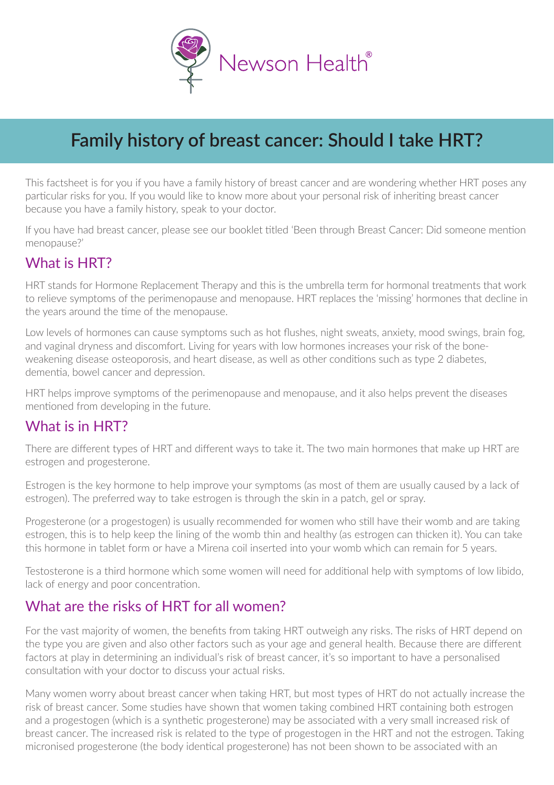

# **Family history of breast cancer: Should I take HRT?**

This factsheet is for you if you have a family history of breast cancer and are wondering whether HRT poses any particular risks for you. If you would like to know more about your personal risk of inheriting breast cancer because you have a family history, speak to your doctor.

If you have had breast cancer, please see our booklet titled 'Been through Breast Cancer: Did someone mention menopause?'

## What is HRT?

HRT stands for Hormone Replacement Therapy and this is the umbrella term for hormonal treatments that work to relieve symptoms of the perimenopause and menopause. HRT replaces the 'missing' hormones that decline in the years around the time of the menopause.

Low levels of hormones can cause symptoms such as hot flushes, night sweats, anxiety, mood swings, brain fog, and vaginal dryness and discomfort. Living for years with low hormones increases your risk of the boneweakening disease osteoporosis, and heart disease, as well as other conditions such as type 2 diabetes, dementia, bowel cancer and depression.

HRT helps improve symptoms of the perimenopause and menopause, and it also helps prevent the diseases mentioned from developing in the future.

### What is in HRT?

There are different types of HRT and different ways to take it. The two main hormones that make up HRT are estrogen and progesterone.

Estrogen is the key hormone to help improve your symptoms (as most of them are usually caused by a lack of estrogen). The preferred way to take estrogen is through the skin in a patch, gel or spray.

Progesterone (or a progestogen) is usually recommended for women who still have their womb and are taking estrogen, this is to help keep the lining of the womb thin and healthy (as estrogen can thicken it). You can take this hormone in tablet form or have a Mirena coil inserted into your womb which can remain for 5 years.

Testosterone is a third hormone which some women will need for additional help with symptoms of low libido, lack of energy and poor concentration.

#### What are the risks of HRT for all women?

For the vast majority of women, the benefits from taking HRT outweigh any risks. The risks of HRT depend on the type you are given and also other factors such as your age and general health. Because there are different factors at play in determining an individual's risk of breast cancer, it's so important to have a personalised consultation with your doctor to discuss your actual risks.

Many women worry about breast cancer when taking HRT, but most types of HRT do not actually increase the risk of breast cancer. Some studies have shown that women taking combined HRT containing both estrogen and a progestogen (which is a synthetic progesterone) may be associated with a very small increased risk of breast cancer. The increased risk is related to the type of progestogen in the HRT and not the estrogen. Taking micronised progesterone (the body identical progesterone) has not been shown to be associated with an